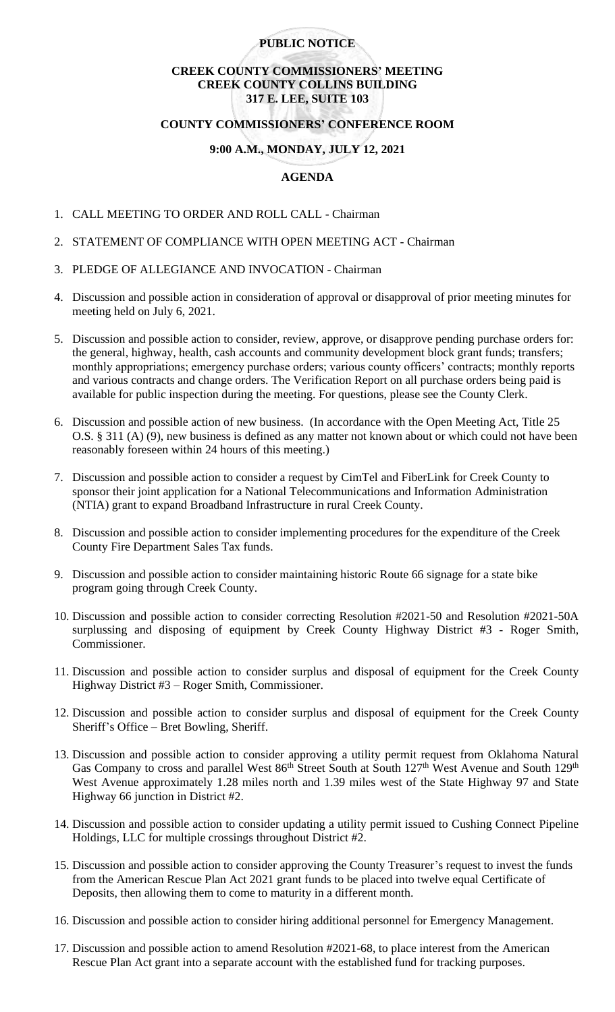## **PUBLIC NOTICE**

# **CREEK COUNTY COMMISSIONERS' MEETING CREEK COUNTY COLLINS BUILDING 317 E. LEE, SUITE 103**

#### **COUNTY COMMISSIONERS' CONFERENCE ROOM**

# **9:00 A.M., MONDAY, JULY 12, 2021**

# **AGENDA**

- 1. CALL MEETING TO ORDER AND ROLL CALL Chairman
- 2. STATEMENT OF COMPLIANCE WITH OPEN MEETING ACT Chairman
- 3. PLEDGE OF ALLEGIANCE AND INVOCATION Chairman
- 4. Discussion and possible action in consideration of approval or disapproval of prior meeting minutes for meeting held on July 6, 2021.
- 5. Discussion and possible action to consider, review, approve, or disapprove pending purchase orders for: the general, highway, health, cash accounts and community development block grant funds; transfers; monthly appropriations; emergency purchase orders; various county officers' contracts; monthly reports and various contracts and change orders. The Verification Report on all purchase orders being paid is available for public inspection during the meeting. For questions, please see the County Clerk.
- 6. Discussion and possible action of new business. (In accordance with the Open Meeting Act, Title 25 O.S. § 311 (A) (9), new business is defined as any matter not known about or which could not have been reasonably foreseen within 24 hours of this meeting.)
- 7. Discussion and possible action to consider a request by CimTel and FiberLink for Creek County to sponsor their joint application for a National Telecommunications and Information Administration (NTIA) grant to expand Broadband Infrastructure in rural Creek County.
- 8. Discussion and possible action to consider implementing procedures for the expenditure of the Creek County Fire Department Sales Tax funds.
- 9. Discussion and possible action to consider maintaining historic Route 66 signage for a state bike program going through Creek County.
- 10. Discussion and possible action to consider correcting Resolution #2021-50 and Resolution #2021-50A surplussing and disposing of equipment by Creek County Highway District #3 - Roger Smith, Commissioner.
- 11. Discussion and possible action to consider surplus and disposal of equipment for the Creek County Highway District #3 – Roger Smith, Commissioner.
- 12. Discussion and possible action to consider surplus and disposal of equipment for the Creek County Sheriff's Office – Bret Bowling, Sheriff.
- 13. Discussion and possible action to consider approving a utility permit request from Oklahoma Natural Gas Company to cross and parallel West 86<sup>th</sup> Street South at South 127<sup>th</sup> West Avenue and South 129<sup>th</sup> West Avenue approximately 1.28 miles north and 1.39 miles west of the State Highway 97 and State Highway 66 junction in District #2.
- 14. Discussion and possible action to consider updating a utility permit issued to Cushing Connect Pipeline Holdings, LLC for multiple crossings throughout District #2.
- 15. Discussion and possible action to consider approving the County Treasurer's request to invest the funds from the American Rescue Plan Act 2021 grant funds to be placed into twelve equal Certificate of Deposits, then allowing them to come to maturity in a different month.
- 16. Discussion and possible action to consider hiring additional personnel for Emergency Management.
- 17. Discussion and possible action to amend Resolution #2021-68, to place interest from the American Rescue Plan Act grant into a separate account with the established fund for tracking purposes.